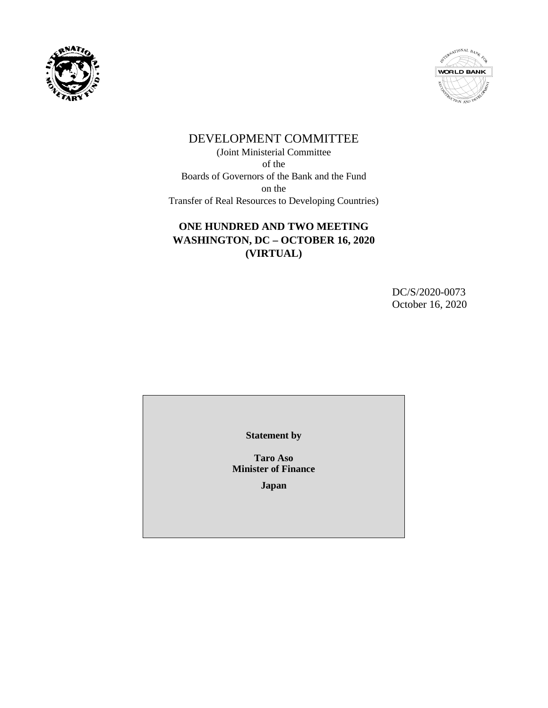



# DEVELOPMENT COMMITTEE

(Joint Ministerial Committee of the Boards of Governors of the Bank and the Fund on the Transfer of Real Resources to Developing Countries)

# **ONE HUNDRED AND TWO MEETING WASHINGTON, DC – OCTOBER 16, 2020 (VIRTUAL)**

DC/S/2020-0073 October 16, 2020

**Statement by**

**Taro Aso Minister of Finance** 

**Japan**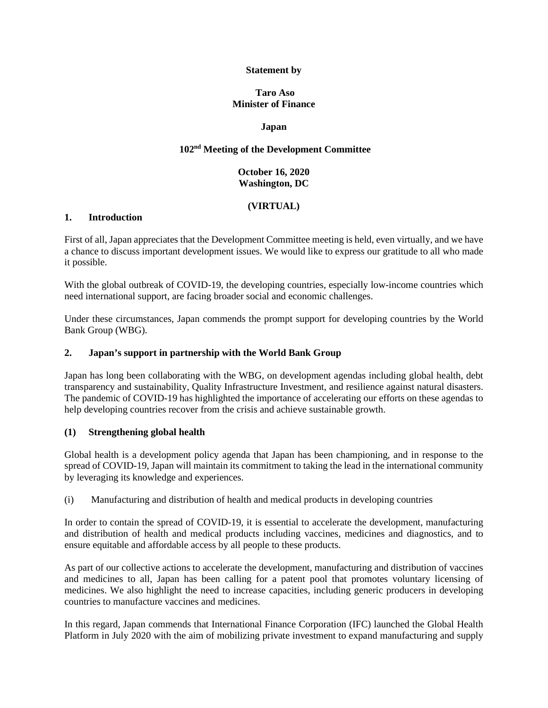#### **Statement by**

#### **Taro Aso Minister of Finance**

#### **Japan**

# **102nd Meeting of the Development Committee**

## **October 16, 2020 Washington, DC**

# **(VIRTUAL)**

#### **1. Introduction**

First of all, Japan appreciates that the Development Committee meeting is held, even virtually, and we have a chance to discuss important development issues. We would like to express our gratitude to all who made it possible.

With the global outbreak of COVID-19, the developing countries, especially low-income countries which need international support, are facing broader social and economic challenges.

Under these circumstances, Japan commends the prompt support for developing countries by the World Bank Group (WBG).

#### **2. Japan's support in partnership with the World Bank Group**

Japan has long been collaborating with the WBG, on development agendas including global health, debt transparency and sustainability, Quality Infrastructure Investment, and resilience against natural disasters. The pandemic of COVID-19 has highlighted the importance of accelerating our efforts on these agendas to help developing countries recover from the crisis and achieve sustainable growth.

#### **(1) Strengthening global health**

Global health is a development policy agenda that Japan has been championing, and in response to the spread of COVID-19, Japan will maintain its commitment to taking the lead in the international community by leveraging its knowledge and experiences.

(i) Manufacturing and distribution of health and medical products in developing countries

In order to contain the spread of COVID-19, it is essential to accelerate the development, manufacturing and distribution of health and medical products including vaccines, medicines and diagnostics, and to ensure equitable and affordable access by all people to these products.

As part of our collective actions to accelerate the development, manufacturing and distribution of vaccines and medicines to all, Japan has been calling for a patent pool that promotes voluntary licensing of medicines. We also highlight the need to increase capacities, including generic producers in developing countries to manufacture vaccines and medicines.

In this regard, Japan commends that International Finance Corporation (IFC) launched the Global Health Platform in July 2020 with the aim of mobilizing private investment to expand manufacturing and supply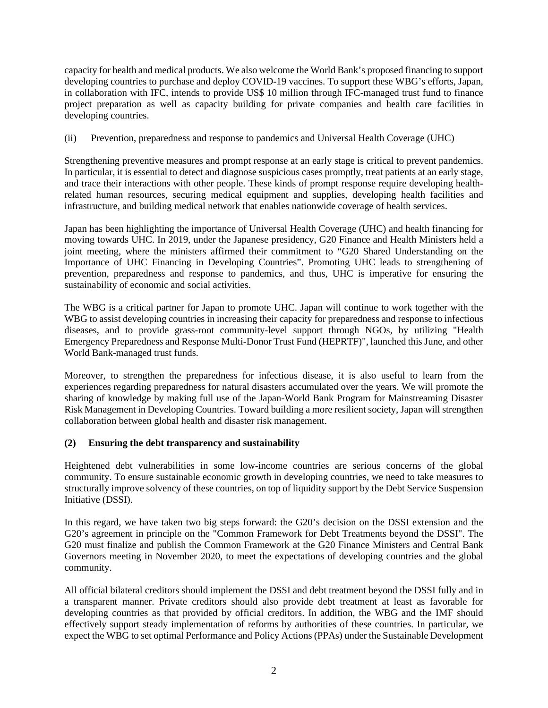capacity for health and medical products. We also welcome the World Bank's proposed financing to support developing countries to purchase and deploy COVID-19 vaccines. To support these WBG's efforts, Japan, in collaboration with IFC, intends to provide US\$ 10 million through IFC-managed trust fund to finance project preparation as well as capacity building for private companies and health care facilities in developing countries.

(ii) Prevention, preparedness and response to pandemics and Universal Health Coverage (UHC)

Strengthening preventive measures and prompt response at an early stage is critical to prevent pandemics. In particular, it is essential to detect and diagnose suspicious cases promptly, treat patients at an early stage, and trace their interactions with other people. These kinds of prompt response require developing healthrelated human resources, securing medical equipment and supplies, developing health facilities and infrastructure, and building medical network that enables nationwide coverage of health services.

Japan has been highlighting the importance of Universal Health Coverage (UHC) and health financing for moving towards UHC. In 2019, under the Japanese presidency, G20 Finance and Health Ministers held a joint meeting, where the ministers affirmed their commitment to "G20 Shared Understanding on the Importance of UHC Financing in Developing Countries". Promoting UHC leads to strengthening of prevention, preparedness and response to pandemics, and thus, UHC is imperative for ensuring the sustainability of economic and social activities.

The WBG is a critical partner for Japan to promote UHC. Japan will continue to work together with the WBG to assist developing countries in increasing their capacity for preparedness and response to infectious diseases, and to provide grass-root community-level support through NGOs, by utilizing "Health Emergency Preparedness and Response Multi-Donor Trust Fund (HEPRTF)", launched this June, and other World Bank-managed trust funds.

Moreover, to strengthen the preparedness for infectious disease, it is also useful to learn from the experiences regarding preparedness for natural disasters accumulated over the years. We will promote the sharing of knowledge by making full use of the Japan-World Bank Program for Mainstreaming Disaster Risk Management in Developing Countries. Toward building a more resilient society, Japan will strengthen collaboration between global health and disaster risk management.

## **(2) Ensuring the debt transparency and sustainability**

Heightened debt vulnerabilities in some low-income countries are serious concerns of the global community. To ensure sustainable economic growth in developing countries, we need to take measures to structurally improve solvency of these countries, on top of liquidity support by the Debt Service Suspension Initiative (DSSI).

In this regard, we have taken two big steps forward: the G20's decision on the DSSI extension and the G20's agreement in principle on the "Common Framework for Debt Treatments beyond the DSSI". The G20 must finalize and publish the Common Framework at the G20 Finance Ministers and Central Bank Governors meeting in November 2020, to meet the expectations of developing countries and the global community.

All official bilateral creditors should implement the DSSI and debt treatment beyond the DSSI fully and in a transparent manner. Private creditors should also provide debt treatment at least as favorable for developing countries as that provided by official creditors. In addition, the WBG and the IMF should effectively support steady implementation of reforms by authorities of these countries. In particular, we expect the WBG to set optimal Performance and Policy Actions (PPAs) under the Sustainable Development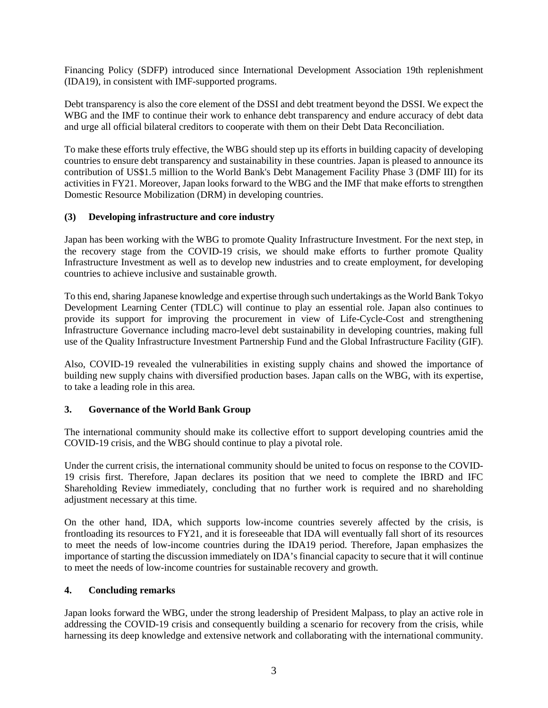Financing Policy (SDFP) introduced since International Development Association 19th replenishment (IDA19), in consistent with IMF-supported programs.

Debt transparency is also the core element of the DSSI and debt treatment beyond the DSSI. We expect the WBG and the IMF to continue their work to enhance debt transparency and endure accuracy of debt data and urge all official bilateral creditors to cooperate with them on their Debt Data Reconciliation.

To make these efforts truly effective, the WBG should step up its efforts in building capacity of developing countries to ensure debt transparency and sustainability in these countries. Japan is pleased to announce its contribution of US\$1.5 million to the World Bank's Debt Management Facility Phase 3 (DMF III) for its activities in FY21. Moreover, Japan looks forward to the WBG and the IMF that make efforts to strengthen Domestic Resource Mobilization (DRM) in developing countries.

## **(3) Developing infrastructure and core industry**

Japan has been working with the WBG to promote Quality Infrastructure Investment. For the next step, in the recovery stage from the COVID-19 crisis, we should make efforts to further promote Quality Infrastructure Investment as well as to develop new industries and to create employment, for developing countries to achieve inclusive and sustainable growth.

To this end, sharing Japanese knowledge and expertise through such undertakings as the World Bank Tokyo Development Learning Center (TDLC) will continue to play an essential role. Japan also continues to provide its support for improving the procurement in view of Life-Cycle-Cost and strengthening Infrastructure Governance including macro-level debt sustainability in developing countries, making full use of the Quality Infrastructure Investment Partnership Fund and the Global Infrastructure Facility (GIF).

Also, COVID-19 revealed the vulnerabilities in existing supply chains and showed the importance of building new supply chains with diversified production bases. Japan calls on the WBG, with its expertise, to take a leading role in this area.

## **3. Governance of the World Bank Group**

The international community should make its collective effort to support developing countries amid the COVID-19 crisis, and the WBG should continue to play a pivotal role.

Under the current crisis, the international community should be united to focus on response to the COVID-19 crisis first. Therefore, Japan declares its position that we need to complete the IBRD and IFC Shareholding Review immediately, concluding that no further work is required and no shareholding adjustment necessary at this time.

On the other hand, IDA, which supports low-income countries severely affected by the crisis, is frontloading its resources to FY21, and it is foreseeable that IDA will eventually fall short of its resources to meet the needs of low-income countries during the IDA19 period. Therefore, Japan emphasizes the importance of starting the discussion immediately on IDA's financial capacity to secure that it will continue to meet the needs of low-income countries for sustainable recovery and growth.

## **4. Concluding remarks**

Japan looks forward the WBG, under the strong leadership of President Malpass, to play an active role in addressing the COVID-19 crisis and consequently building a scenario for recovery from the crisis, while harnessing its deep knowledge and extensive network and collaborating with the international community.